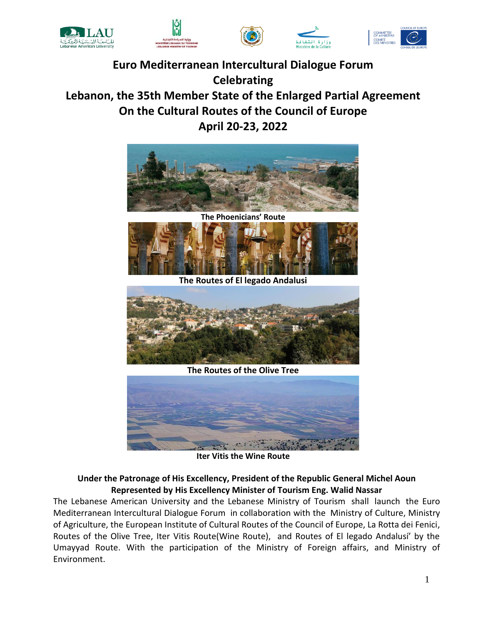







# **Euro Mediterranean Intercultural Dialogue Forum Celebrating Lebanon, the 35th Member State of the Enlarged Partial Agreement On the Cultural Routes of the Council of Europe April 20-23, 2022**





**The Routes of El legado Andalusi**



**The Routes of the Olive Tree**



**Iter Vitis the Wine Route**

## **Under the Patronage of His Excellency, President of the Republic General Michel Aoun Represented by His Excellency Minister of Tourism Eng. Walid Nassar**

The Lebanese American University and the Lebanese Ministry of Tourism shall launch the Euro Mediterranean Intercultural Dialogue Forum in collaboration with the Ministry of Culture, Ministry of Agriculture, the European Institute of Cultural Routes of the Council of Europe, La Rotta dei Fenici, Routes of the Olive Tree, Iter Vitis Route(Wine Route), and Routes of El legado Andalusí' by the Umayyad Route. With the participation of the Ministry of Foreign affairs, and Ministry of Environment.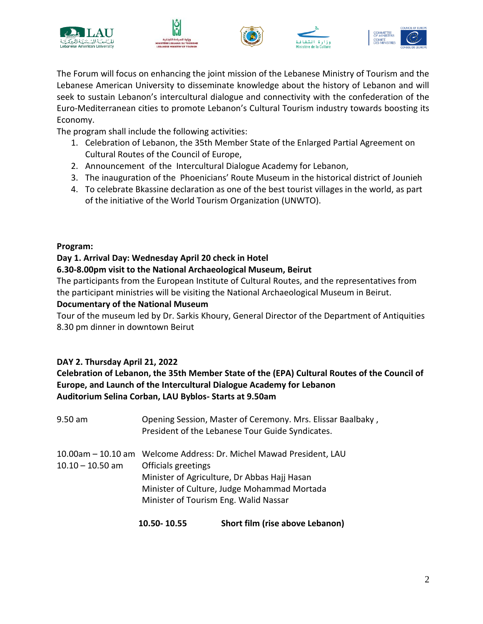







The Forum will focus on enhancing the joint mission of the Lebanese Ministry of Tourism and the Lebanese American University to disseminate knowledge about the history of Lebanon and will seek to sustain Lebanon's intercultural dialogue and connectivity with the confederation of the Euro-Mediterranean cities to promote Lebanon's Cultural Tourism industry towards boosting its Economy.

The program shall include the following activities:

- 1. Celebration of Lebanon, the 35th Member State of the Enlarged Partial Agreement on Cultural Routes of the Council of Europe,
- 2. Announcement of the Intercultural Dialogue Academy for Lebanon,
- 3. The inauguration of the Phoenicians' Route Museum in the historical district of Jounieh
- 4. To celebrate Bkassine declaration as one of the best tourist villages in the world, as part of the initiative of the World Tourism Organization (UNWTO).

## **Program:**

# **Day 1. Arrival Day: Wednesday April 20 check in Hotel**

## **6.30-8.00pm visit to the National Archaeological Museum, Beirut**

The participants from the European Institute of Cultural Routes, and the representatives from the participant ministries will be visiting the National Archaeological Museum in Beirut.

## **Documentary of the National Museum**

Tour of the museum led by Dr. Sarkis Khoury, General Director of the Department of Antiquities 8.30 pm dinner in downtown Beirut

# **DAY 2. Thursday April 21, 2022**

## **Celebration of Lebanon, the 35th Member State of the (EPA) Cultural Routes of the Council of Europe, and Launch of the Intercultural Dialogue Academy for Lebanon Auditorium Selina Corban, LAU Byblos- Starts at 9.50am**

|                    | 10.50 - 10.55                                                                                                                                                                                                                      | Short film (rise above Lebanon)                                                                                 |
|--------------------|------------------------------------------------------------------------------------------------------------------------------------------------------------------------------------------------------------------------------------|-----------------------------------------------------------------------------------------------------------------|
| $10.10 - 10.50$ am | 10.00am - 10.10 am Welcome Address: Dr. Michel Mawad President, LAU<br>Officials greetings<br>Minister of Agriculture, Dr Abbas Hajj Hasan<br>Minister of Culture, Judge Mohammad Mortada<br>Minister of Tourism Eng. Walid Nassar |                                                                                                                 |
| 9.50 am            |                                                                                                                                                                                                                                    | Opening Session, Master of Ceremony. Mrs. Elissar Baalbaky,<br>President of the Lebanese Tour Guide Syndicates. |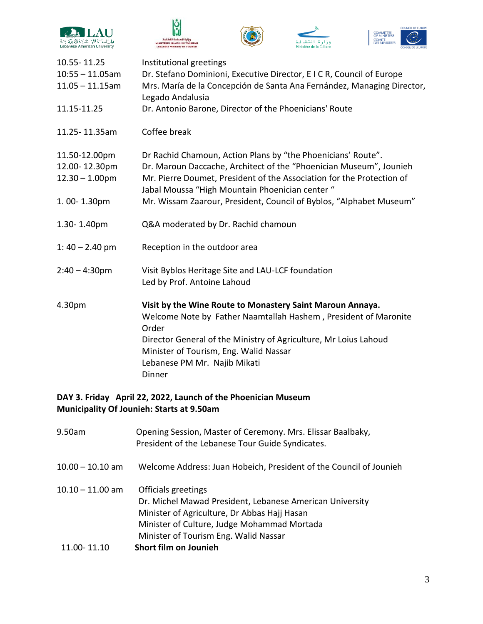





۔<br>اف

Ministère de la Ci



| 10.55 - 11.25      | Institutional greetings                                                                                                 |
|--------------------|-------------------------------------------------------------------------------------------------------------------------|
| $10:55 - 11.05$ am | Dr. Stefano Dominioni, Executive Director, EICR, Council of Europe                                                      |
| $11.05 - 11.15$ am | Mrs. María de la Concepción de Santa Ana Fernández, Managing Director,<br>Legado Andalusia                              |
| 11.15-11.25        | Dr. Antonio Barone, Director of the Phoenicians' Route                                                                  |
| 11.25-11.35am      | Coffee break                                                                                                            |
| 11.50-12.00pm      | Dr Rachid Chamoun, Action Plans by "the Phoenicians' Route".                                                            |
| 12.00-12.30pm      | Dr. Maroun Daccache, Architect of the "Phoenician Museum", Jounieh                                                      |
| $12.30 - 1.00$ pm  | Mr. Pierre Doumet, President of the Association for the Protection of<br>Jabal Moussa "High Mountain Phoenician center" |
| 1.00-1.30pm        | Mr. Wissam Zaarour, President, Council of Byblos, "Alphabet Museum"                                                     |
| 1.30-1.40pm        | Q&A moderated by Dr. Rachid chamoun                                                                                     |
| $1:40 - 2.40$ pm   | Reception in the outdoor area                                                                                           |
| $2:40 - 4:30$ pm   | Visit Byblos Heritage Site and LAU-LCF foundation                                                                       |
|                    | Led by Prof. Antoine Lahoud                                                                                             |
| 4.30pm             | Visit by the Wine Route to Monastery Saint Maroun Annaya.                                                               |
|                    | Welcome Note by Father Naamtallah Hashem, President of Maronite<br>Order                                                |
|                    | Director General of the Ministry of Agriculture, Mr Loius Lahoud                                                        |
|                    | Minister of Tourism, Eng. Walid Nassar                                                                                  |
|                    | Lebanese PM Mr. Najib Mikati                                                                                            |
|                    | Dinner                                                                                                                  |
|                    |                                                                                                                         |

# **DAY 3. Friday April 22, 2022, Launch of the Phoenician Museum Municipality Of Jounieh: Starts at 9.50am**

| 9.50am                            | Opening Session, Master of Ceremony. Mrs. Elissar Baalbaky,<br>President of the Lebanese Tour Guide Syndicates.                                                                                                                                  |
|-----------------------------------|--------------------------------------------------------------------------------------------------------------------------------------------------------------------------------------------------------------------------------------------------|
| $10.00 - 10.10$ am                | Welcome Address: Juan Hobeich, President of the Council of Jounieh                                                                                                                                                                               |
| $10.10 - 11.00$ am<br>11.00-11.10 | Officials greetings<br>Dr. Michel Mawad President, Lebanese American University<br>Minister of Agriculture, Dr Abbas Hajj Hasan<br>Minister of Culture, Judge Mohammad Mortada<br>Minister of Tourism Eng. Walid Nassar<br>Short film on Jounieh |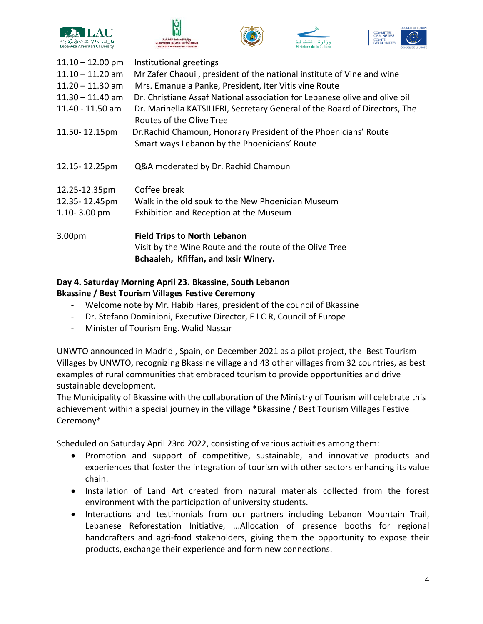







| $11.10 - 12.00$ pm | Institutional greetings                                                                                                                |
|--------------------|----------------------------------------------------------------------------------------------------------------------------------------|
| $11.10 - 11.20$ am | Mr Zafer Chaoui, president of the national institute of Vine and wine                                                                  |
| $11.20 - 11.30$ am | Mrs. Emanuela Panke, President, Iter Vitis vine Route                                                                                  |
| $11.30 - 11.40$ am | Dr. Christiane Assaf National association for Lebanese olive and olive oil                                                             |
| 11.40 - 11.50 am   | Dr. Marinella KATSILIERI, Secretary General of the Board of Directors, The<br>Routes of the Olive Tree                                 |
| 11.50-12.15pm      | Dr. Rachid Chamoun, Honorary President of the Phoenicians' Route<br>Smart ways Lebanon by the Phoenicians' Route                       |
| 12.15 - 12.25pm    | Q&A moderated by Dr. Rachid Chamoun                                                                                                    |
| 12.25-12.35pm      | Coffee break                                                                                                                           |
| 12.35-12.45pm      | Walk in the old souk to the New Phoenician Museum                                                                                      |
| $1.10 - 3.00$ pm   | Exhibition and Reception at the Museum                                                                                                 |
| 3.00pm             | <b>Field Trips to North Lebanon</b><br>Visit by the Wine Route and the route of the Olive Tree<br>Bchaaleh, Kfiffan, and Ixsir Winery. |

## **Day 4. Saturday Morning April 23. Bkassine, South Lebanon Bkassine / Best Tourism Villages Festive Ceremony**

- Welcome note by Mr. Habib Hares, president of the council of Bkassine
- Dr. Stefano Dominioni, Executive Director, E I C R, Council of Europe
- Minister of Tourism Eng. Walid Nassar

UNWTO announced in Madrid , Spain, on December 2021 as a pilot project, the Best Tourism Villages by UNWTO, recognizing Bkassine village and 43 other villages from 32 countries, as best examples of rural communities that embraced tourism to provide opportunities and drive sustainable development.

The Municipality of Bkassine with the collaboration of the Ministry of Tourism will celebrate this achievement within a special journey in the village \*Bkassine / Best Tourism Villages Festive Ceremony\*

Scheduled on Saturday April 23rd 2022, consisting of various activities among them:

- Promotion and support of competitive, sustainable, and innovative products and experiences that foster the integration of tourism with other sectors enhancing its value chain.
- Installation of Land Art created from natural materials collected from the forest environment with the participation of university students.
- Interactions and testimonials from our partners including Lebanon Mountain Trail, Lebanese Reforestation Initiative, ...Allocation of presence booths for regional handcrafters and agri-food stakeholders, giving them the opportunity to expose their products, exchange their experience and form new connections.